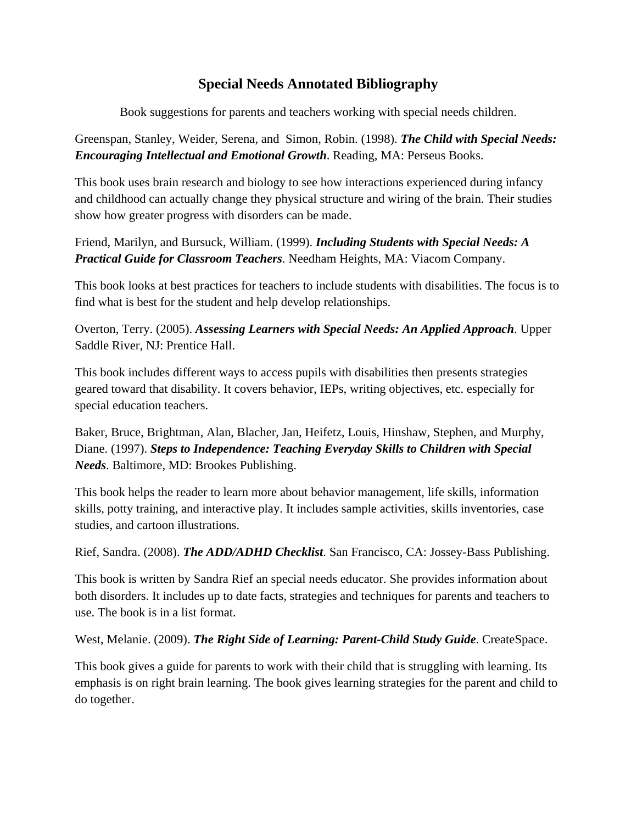## **Special Needs Annotated Bibliography**

Book suggestions for parents and teachers working with special needs children.

Greenspan, Stanley, Weider, Serena, and Simon, Robin. (1998). *The Child with Special Needs: Encouraging Intellectual and Emotional Growth*. Reading, MA: Perseus Books.

This book uses brain research and biology to see how interactions experienced during infancy and childhood can actually change they physical structure and wiring of the brain. Their studies show how greater progress with disorders can be made.

Friend, Marilyn, and Bursuck, William. (1999). *Including Students with Special Needs: A Practical Guide for Classroom Teachers*. Needham Heights, MA: Viacom Company.

This book looks at best practices for teachers to include students with disabilities. The focus is to find what is best for the student and help develop relationships.

Overton, Terry. (2005). *Assessing Learners with Special Needs: An Applied Approach*. Upper Saddle River, NJ: Prentice Hall.

This book includes different ways to access pupils with disabilities then presents strategies geared toward that disability. It covers behavior, IEPs, writing objectives, etc. especially for special education teachers.

Baker, Bruce, Brightman, Alan, Blacher, Jan, Heifetz, Louis, Hinshaw, Stephen, and Murphy, Diane. (1997). *Steps to Independence: Teaching Everyday Skills to Children with Special Needs*. Baltimore, MD: Brookes Publishing.

This book helps the reader to learn more about behavior management, life skills, information skills, potty training, and interactive play. It includes sample activities, skills inventories, case studies, and cartoon illustrations.

Rief, Sandra. (2008). *The ADD/ADHD Checklist*. San Francisco, CA: Jossey-Bass Publishing.

This book is written by Sandra Rief an special needs educator. She provides information about both disorders. It includes up to date facts, strategies and techniques for parents and teachers to use. The book is in a list format.

West, Melanie. (2009). *The Right Side of Learning: Parent-Child Study Guide*. CreateSpace.

This book gives a guide for parents to work with their child that is struggling with learning. Its emphasis is on right brain learning. The book gives learning strategies for the parent and child to do together.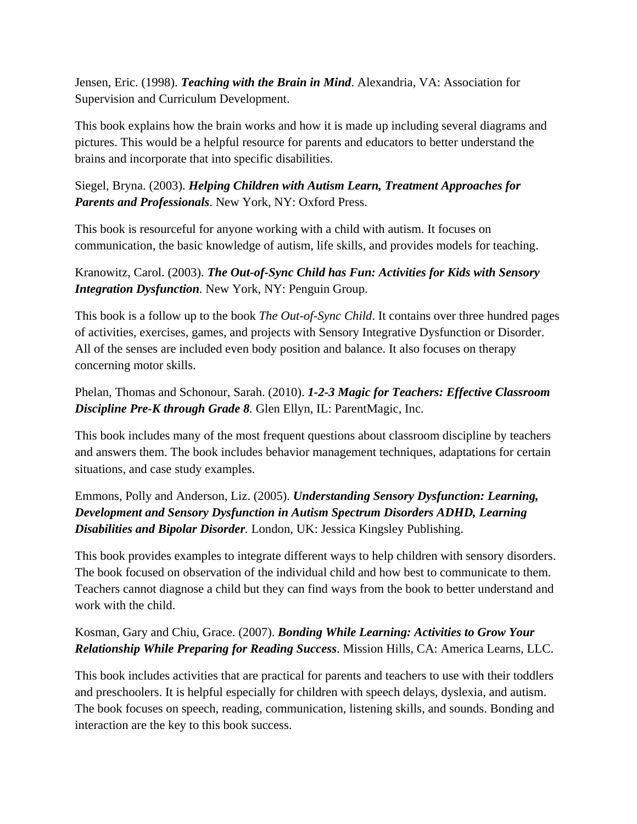Jensen, Eric. (1998). *Teaching with the Brain in Mind*. Alexandria, VA: Association for Supervision and Curriculum Development.

This book explains how the brain works and how it is made up including several diagrams and pictures. This would be a helpful resource for parents and educators to better understand the brains and incorporate that into specific disabilities.

Siegel, Bryna. (2003). *Helping Children with Autism Learn, Treatment Approaches for Parents and Professionals*. New York, NY: Oxford Press.

This book is resourceful for anyone working with a child with autism. It focuses on communication, the basic knowledge of autism, life skills, and provides models for teaching.

Kranowitz, Carol. (2003). *The Out-of-Sync Child has Fun: Activities for Kids with Sensory Integration Dysfunction.* New York, NY: Penguin Group.

This book is a follow up to the book *The Out-of-Sync Child*. It contains over three hundred pages of activities, exercises, games, and projects with Sensory Integrative Dysfunction or Disorder. All of the senses are included even body position and balance. It also focuses on therapy concerning motor skills.

Phelan, Thomas and Schonour, Sarah. (2010). *1-2-3 Magic for Teachers: Effective Classroom Discipline Pre-K through Grade 8.* Glen Ellyn, IL: ParentMagic, Inc.

This book includes many of the most frequent questions about classroom discipline by teachers and answers them. The book includes behavior management techniques, adaptations for certain situations, and case study examples.

Emmons, Polly and Anderson, Liz. (2005). *Understanding Sensory Dysfunction: Learning, Development and Sensory Dysfunction in Autism Spectrum Disorders ADHD, Learning Disabilities and Bipolar Disorder.* London, UK: Jessica Kingsley Publishing.

This book provides examples to integrate different ways to help children with sensory disorders. The book focused on observation of the individual child and how best to communicate to them. Teachers cannot diagnose a child but they can find ways from the book to better understand and work with the child.

## Kosman, Gary and Chiu, Grace. (2007). *Bonding While Learning: Activities to Grow Your Relationship While Preparing for Reading Success*. Mission Hills, CA: America Learns, LLC.

This book includes activities that are practical for parents and teachers to use with their toddlers and preschoolers. It is helpful especially for children with speech delays, dyslexia, and autism. The book focuses on speech, reading, communication, listening skills, and sounds. Bonding and interaction are the key to this book success.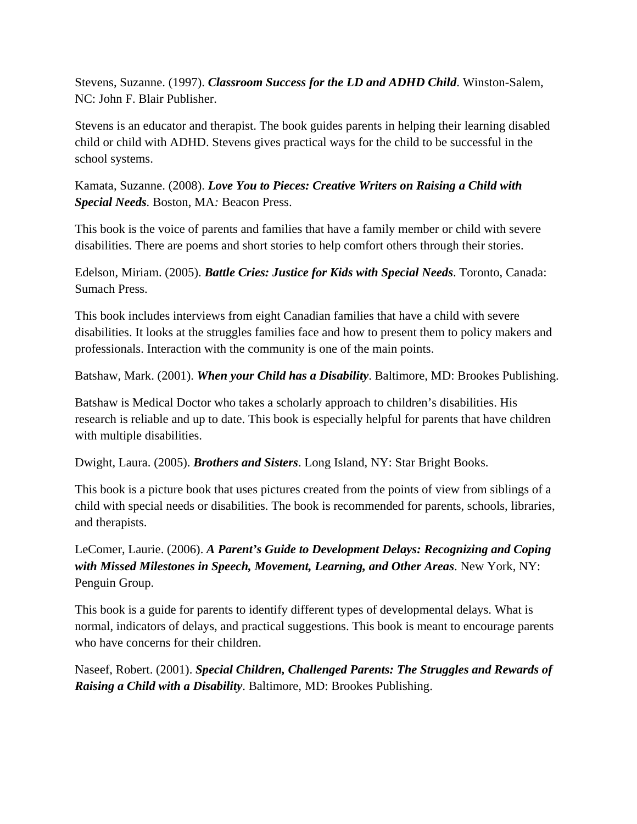Stevens, Suzanne. (1997). *Classroom Success for the LD and ADHD Child*. Winston-Salem, NC: John F. Blair Publisher.

Stevens is an educator and therapist. The book guides parents in helping their learning disabled child or child with ADHD. Stevens gives practical ways for the child to be successful in the school systems.

Kamata, Suzanne. (2008). *Love You to Pieces: Creative Writers on Raising a Child with Special Needs.* Boston, MA*:* Beacon Press.

This book is the voice of parents and families that have a family member or child with severe disabilities. There are poems and short stories to help comfort others through their stories.

Edelson, Miriam. (2005). *Battle Cries: Justice for Kids with Special Needs*. Toronto, Canada: Sumach Press.

This book includes interviews from eight Canadian families that have a child with severe disabilities. It looks at the struggles families face and how to present them to policy makers and professionals. Interaction with the community is one of the main points.

Batshaw, Mark. (2001). *When your Child has a Disability*. Baltimore, MD: Brookes Publishing.

Batshaw is Medical Doctor who takes a scholarly approach to children's disabilities. His research is reliable and up to date. This book is especially helpful for parents that have children with multiple disabilities.

Dwight, Laura. (2005). *Brothers and Sisters*. Long Island, NY: Star Bright Books.

This book is a picture book that uses pictures created from the points of view from siblings of a child with special needs or disabilities. The book is recommended for parents, schools, libraries, and therapists.

LeComer, Laurie. (2006). *A Parent's Guide to Development Delays: Recognizing and Coping with Missed Milestones in Speech, Movement, Learning, and Other Areas*. New York, NY: Penguin Group.

This book is a guide for parents to identify different types of developmental delays. What is normal, indicators of delays, and practical suggestions. This book is meant to encourage parents who have concerns for their children.

Naseef, Robert. (2001). *Special Children, Challenged Parents: The Struggles and Rewards of Raising a Child with a Disability*. Baltimore, MD: Brookes Publishing.